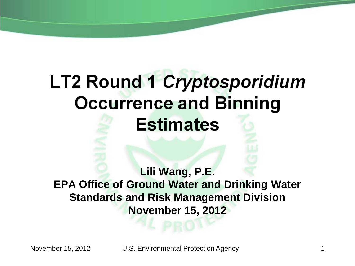# **LT2 Round 1 Cryptosporidium Occurrence and Binning Estimates**

**Lili Wang, P.E. EPA Office of Ground Water and Drinking Water Standards and Risk Management Division November 15, 2012**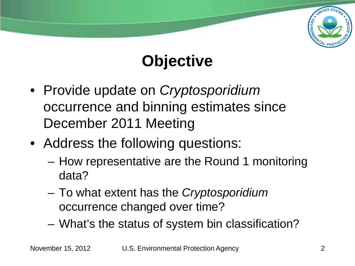

# **Objective**

- Provide update on *Cryptosporidium* occurrence and binning estimates since December 2011 Meeting
- Address the following questions:
	- How representative are the Round 1 monitoring data?
	- To what extent has the *Cryptosporidium* occurrence changed over time?
	- What's the status of system bin classification?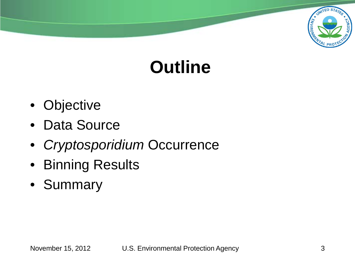

# **Outline**

- Objective
- Data Source
- *Cryptosporidium* Occurrence
- Binning Results
- Summary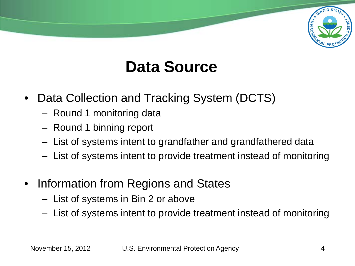

### **Data Source**

- Data Collection and Tracking System (DCTS)
	- Round 1 monitoring data
	- Round 1 binning report
	- List of systems intent to grandfather and grandfathered data
	- List of systems intent to provide treatment instead of monitoring
- Information from Regions and States
	- List of systems in Bin 2 or above
	- List of systems intent to provide treatment instead of monitoring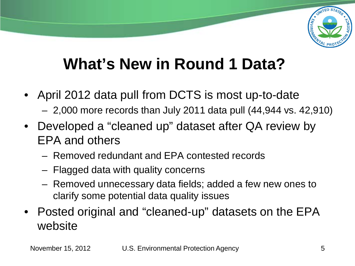

### **What's New in Round 1 Data?**

- April 2012 data pull from DCTS is most up-to-date
	- 2,000 more records than July 2011 data pull (44,944 vs. 42,910)
- Developed a "cleaned up" dataset after QA review by EPA and others
	- Removed redundant and EPA contested records
	- Flagged data with quality concerns
	- Removed unnecessary data fields; added a few new ones to clarify some potential data quality issues
- Posted original and "cleaned-up" datasets on the EPA website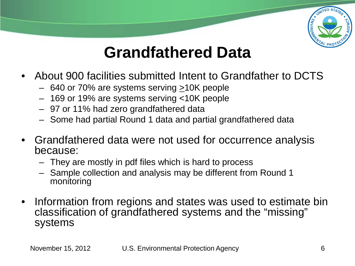

### **Grandfathered Data**

- About 900 facilities submitted Intent to Grandfather to DCTS
	- 640 or 70% are systems serving  $\geq$ 10K people
	- 169 or 19% are systems serving <10K people
	- 97 or 11% had zero grandfathered data
	- Some had partial Round 1 data and partial grandfathered data
- Grandfathered data were not used for occurrence analysis because:
	- They are mostly in pdf files which is hard to process
	- Sample collection and analysis may be different from Round 1 monitoring
- Information from regions and states was used to estimate bin classification of grandfathered systems and the "missing" systems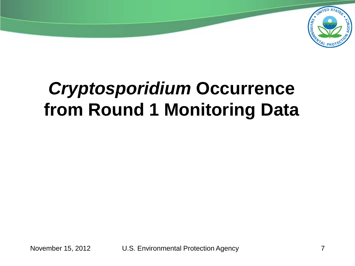

# *Cryptosporidium* **Occurrence from Round 1 Monitoring Data**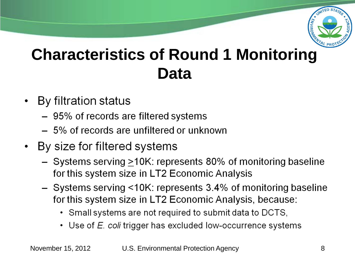

### **Characteristics of Round 1 Monitoring Data**

- By filtration status
	- 95% of records are filtered systems
	- 5% of records are unfiltered or unknown
- By size for filtered systems
	- $-$  Systems serving  $\geq 10$ K: represents 80% of monitoring baseline for this system size in LT2 Economic Analysis
	- Systems serving <10K: represents 3.4% of monitoring baseline for this system size in LT2 Economic Analysis, because:
		- Small systems are not required to submit data to DCTS,
		- Use of  $E$  coli trigger has excluded low-occurrence systems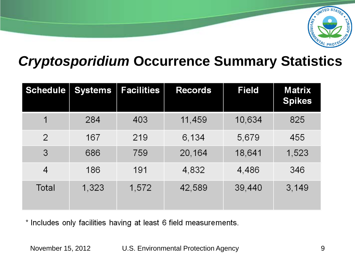

#### *Cryptosporidium* **Occurrence Summary Statistics**

| Schedule       | <b>Systems</b> | <b>Facilities</b> | <b>Records</b> | <b>Field</b> | <b>Matrix</b><br><b>Spikes</b> |
|----------------|----------------|-------------------|----------------|--------------|--------------------------------|
|                | 284            | 403               | 11,459         | 10,634       | 825                            |
| $\overline{2}$ | 167            | 219               | 6,134          | 5,679        | 455                            |
| 3              | 686            | 759               | 20,164         | 18,641       | 1,523                          |
| 4              | 186            | 191               | 4,832          | 4,486        | 346                            |
| Total          | 1,323          | 1,572             | 42,589         | 39,440       | 3,149                          |

\* Includes only facilities having at least 6 field measurements.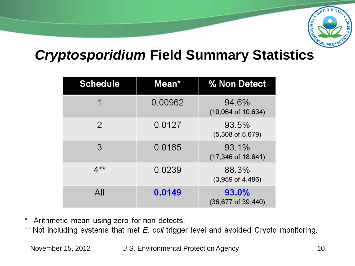

#### *Cryptosporidium* **Field Summary Statistics**

| <b>Schedule</b> | Mean*   | % Non Detect                             |
|-----------------|---------|------------------------------------------|
| 1               | 0.00962 | 94.6%<br>$(10,064 \text{ of } 10,634)$   |
| 2               | 0.0127  | 93.5%<br>$(5,308 \text{ of } 5,679)$     |
| 3               | 0.0165  | 93.1%<br>$(17,346 \text{ of } 18,641)$   |
| $4**$           | 0.0239  | 88.3%<br>$(3,959 \text{ of } 4,486)$     |
| All             | 0.0149  | 93.0%<br>$(36, 677 \text{ of } 39, 440)$ |

\* Arithmetic mean using zero for non detects.

\*\* Not including systems that met E. coli trigger level and avoided Crypto monitoring.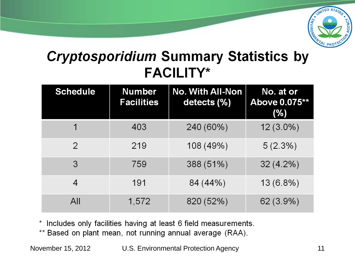

#### **Cryptosporidium Summary Statistics by FACILITY\***

| <b>Schedule</b> | <b>Number</b><br><b>Facilities</b> | <b>No. With All-Non</b><br>detects (%) | No. at or<br>Above 0.075**<br>(%) |
|-----------------|------------------------------------|----------------------------------------|-----------------------------------|
|                 | 403                                | 240 (60%)                              | $12(3.0\%)$                       |
| $\mathcal{P}$   | 219                                | 108 (49%)                              | $5(2.3\%)$                        |
| 3               | 759                                | 388 (51%)                              | $32(4.2\%)$                       |
| 4               | 191                                | 84 (44%)                               | $13(6.8\%)$                       |
| All             | 1,572                              | 820 (52%)                              | $62(3.9\%)$                       |

\* Includes only facilities having at least 6 field measurements.

\*\* Based on plant mean, not running annual average (RAA).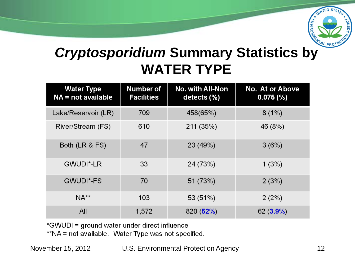

#### *Cryptosporidium* **Summary Statistics by WATER TYPE**

| <b>Water Type</b><br>$NA = not available$ | <b>Number of</b><br><b>Facilities</b> | <b>No. with All-Non</b><br>detects $(\%)$ | <b>No. At or Above</b><br>0.075(%) |
|-------------------------------------------|---------------------------------------|-------------------------------------------|------------------------------------|
| Lake/Reservoir (LR)                       | 709                                   | 458(65%)                                  | 8(1%)                              |
| River/Stream (FS)                         | 610                                   | 211 (35%)                                 | 46 (8%)                            |
| Both $(LR & FS)$                          | 47                                    | 23 (49%)                                  | 3(6%)                              |
| GWUDI*-LR                                 | 33                                    | 24 (73%)                                  | 1(3%)                              |
| GWUDI*-FS                                 | 70                                    | 51 (73%)                                  | 2(3%)                              |
| $NA**$                                    | 103                                   | 53 (51%)                                  | 2(2%)                              |
| All                                       | 1,572                                 | 820(52%)                                  | $62(3.9\%)$                        |

\*GWUDI = ground water under direct influence

\*\*NA = not available. Water Type was not specified.

November 15, 2012 U.S. Environmental Protection Agency 12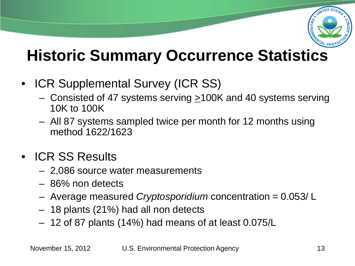

### **Historic Summary Occurrence Statistics**

- ICR Supplemental Survey (ICR SS)
	- Consisted of 47 systems serving  $\geq$ 100K and 40 systems serving 10K to 100K
	- All 87 systems sampled twice per month for 12 months using method 1622/1623
- ICR SS Results
	- 2,086 source water measurements
	- 86% non detects
	- Average measured *Cryptosporidium* concentration = 0.053/ L
	- 18 plants (21%) had all non detects
	- 12 of 87 plants (14%) had means of at least 0.075/L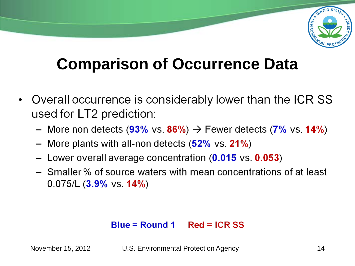

## **Comparison of Occurrence Data**

- Overall occurrence is considerably lower than the ICR SS used for LT2 prediction:
	- More non detects (93% vs. 86%)  $\rightarrow$  Fewer detects (7% vs. 14%)
	- More plants with all-non detects (52% vs. 21%)  $\qquad \qquad -$
	- Lower overall average concentration (0.015 vs. 0.053)
	- Smaller % of source waters with mean concentrations of at least  $0.075/L$  (3.9% vs. 14%)

#### $Blue = Round 1$   $Red = ICR SS$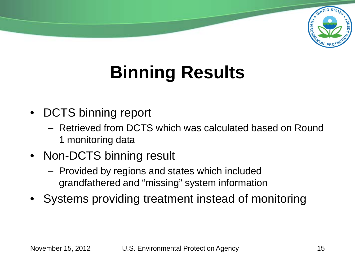

# **Binning Results**

- DCTS binning report
	- Retrieved from DCTS which was calculated based on Round 1 monitoring data
- Non-DCTS binning result
	- Provided by regions and states which included grandfathered and "missing" system information
- Systems providing treatment instead of monitoring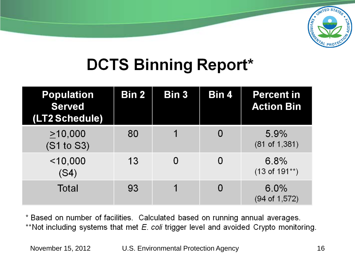

### **DCTS Binning Report\***

| <b>Population</b><br><b>Served</b><br>(LT2 Schedule) | Bin 2 | Bin 3 | Bin 4 | <b>Percent in</b><br><b>Action Bin</b> |
|------------------------------------------------------|-------|-------|-------|----------------------------------------|
| >10,000<br>(S1 to S3)                                | 80    |       |       | $5.9\%$<br>(81 of 1, 381)              |
| $<$ 10,000<br>(S4)                                   | 13    |       |       | 6.8%<br>$(13$ of $191**$ )             |
| Total                                                | 93    |       |       | 6.0%<br>(94 of 1,572)                  |

\* Based on number of facilities. Calculated based on running annual averages. \*\*Not including systems that met E. coli trigger level and avoided Crypto monitoring.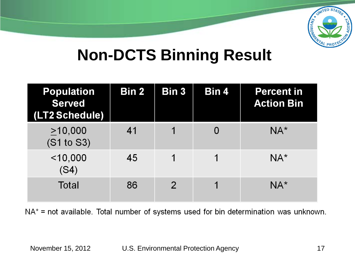

#### **Non-DCTS Binning Result**

| <b>Population</b><br><b>Served</b><br>(LT2 Schedule) | Bin 2 | Bin 3          | Bin 4 | <b>Percent in</b><br><b>Action Bin</b> |
|------------------------------------------------------|-------|----------------|-------|----------------------------------------|
| >10,000<br>(S1 to S3)                                | 41    |                |       | $NA^*$                                 |
| $<$ 10,000<br>(S4)                                   | 45    | 1              | 1     | $NA^*$                                 |
| <b>Total</b>                                         | 86    | $\overline{2}$ |       | $NA^*$                                 |

 $NA^*$  = not available. Total number of systems used for bin determination was unknown.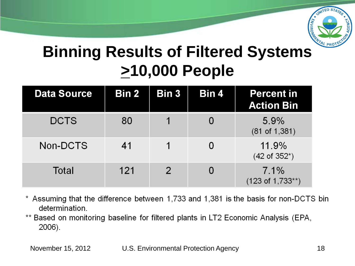

### **Binning Results of Filtered Systems >10,000 People**

| <b>Data Source</b> | Bin 2 | Bin 3          | Bin 4 | <b>Percent in</b><br><b>Action Bin</b> |
|--------------------|-------|----------------|-------|----------------------------------------|
| <b>DCTS</b>        | 80    |                |       | 5.9%<br>(81 of 1, 381)                 |
| Non-DCTS           | 41    |                |       | 11.9%<br>$(42 \text{ of } 352^*)$      |
| Total              | 121   | $\overline{2}$ |       | 7.1%<br>$(123 \text{ of } 1,733**)$    |

- \* Assuming that the difference between 1,733 and 1,381 is the basis for non-DCTS bin determination.
- \*\* Based on monitoring baseline for filtered plants in LT2 Economic Analysis (EPA, 2006).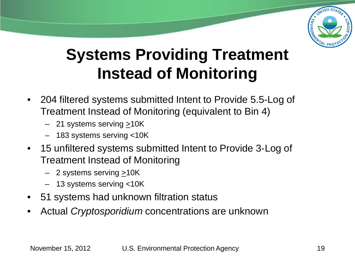

### **Systems Providing Treatment Instead of Monitoring**

- 204 filtered systems submitted Intent to Provide 5.5-Log of Treatment Instead of Monitoring (equivalent to Bin 4)
	- $-$  21 systems serving  $\geq$ 10K
	- 183 systems serving <10K
- 15 unfiltered systems submitted Intent to Provide 3-Log of Treatment Instead of Monitoring
	- $-$  2 systems serving  $\geq$ 10K
	- 13 systems serving <10K
- 51 systems had unknown filtration status
- Actual *Cryptosporidium* concentrations are unknown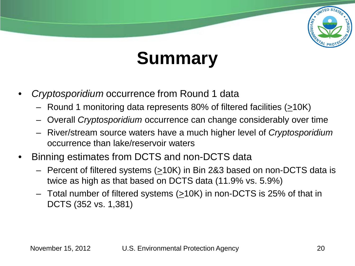

# **Summary**

- *Cryptosporidium* occurrence from Round 1 data
	- Round 1 monitoring data represents 80% of filtered facilities (>10K)
	- Overall *Cryptosporidium* occurrence can change considerably over time
	- River/stream source waters have a much higher level of *Cryptosporidium* occurrence than lake/reservoir waters
- Binning estimates from DCTS and non-DCTS data
	- Percent of filtered systems  $(210K)$  in Bin 2&3 based on non-DCTS data is twice as high as that based on DCTS data (11.9% vs. 5.9%)
	- $-$  Total number of filtered systems ( $\geq$ 10K) in non-DCTS is 25% of that in DCTS (352 vs. 1,381)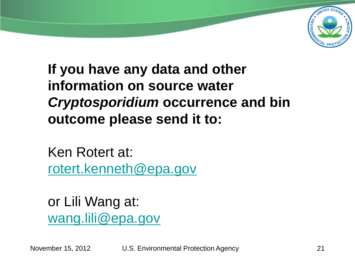

**If you have any data and other information on source water**  *Cryptosporidium* **occurrence and bin outcome please send it to:**

Ken Rotert at: [rotert.kenneth@epa.gov](mailto:rotert.kenneth@epa.gov)

or Lili Wang at: [wang.lili@epa.gov](mailto:Wang.lili@epa.gov)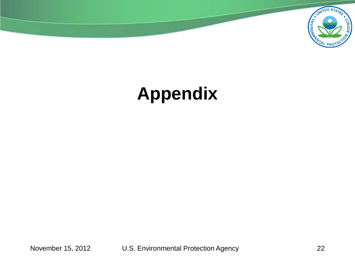

# **Appendix**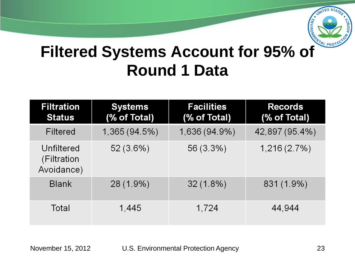

### **Filtered Systems Account for 95% of Round 1 Data**

| <b>Filtration</b><br><b>Status</b>      | <b>Systems</b><br>(% of Total) | <b>Facilities</b><br>(% of Total) | <b>Records</b><br>(% of Total) |
|-----------------------------------------|--------------------------------|-----------------------------------|--------------------------------|
| Filtered                                | 1,365 (94.5%)                  | 1,636 (94.9%)                     | 42,897 (95.4%)                 |
| Unfiltered<br>(Filtration<br>Avoidance) | $52(3.6\%)$                    | 56 (3.3%)                         | 1,216(2.7%)                    |
| <b>Blank</b>                            | 28 (1.9%)                      | $32(1.8\%)$                       | 831 (1.9%)                     |
| Total                                   | 1,445                          | 1,724                             | 44,944                         |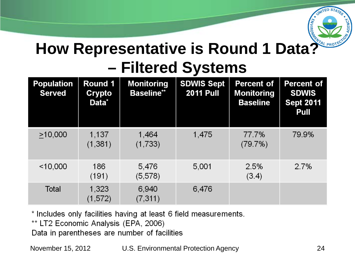

### **How Representative is Round 1 Data? – Filtered Systems**

| <b>Population</b><br><b>Served</b> | Round 1<br>Crypto<br>Data <sup>*</sup> | <b>Monitoring</b><br><b>Baseline**</b> | <b>SDWIS Sept</b><br><b>2011 Pull</b> | <b>Percent of</b><br><b>Monitoring</b><br><b>Baseline</b> | <b>Percent of</b><br><b>SDWIS</b><br><b>Sept 2011</b><br>Pull |
|------------------------------------|----------------------------------------|----------------------------------------|---------------------------------------|-----------------------------------------------------------|---------------------------------------------------------------|
| >10,000                            | 1,137<br>(1, 381)                      | 1,464<br>(1,733)                       | 1,475                                 | 77.7%<br>(79.7%)                                          | 79.9%                                                         |
| $<$ 10,000                         | 186<br>(191)                           | 5,476<br>(5,578)                       | 5.001                                 | 2.5%<br>(3.4)                                             | 2.7%                                                          |
| Total                              | 1,323<br>(1,572)                       | 6,940<br>(7, 311)                      | 6,476                                 |                                                           |                                                               |

\* Includes only facilities having at least 6 field measurements.

\*\* LT2 Economic Analysis (EPA, 2006)

Data in parentheses are number of facilities

November 15, 2012 U.S. Environmental Protection Agency 24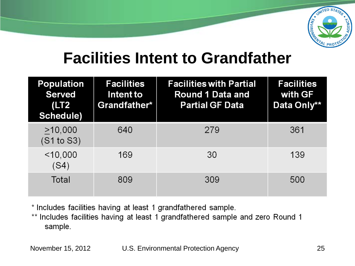

#### **Facilities Intent to Grandfather**

| <b>Population</b><br><b>Served</b><br>(LT2)<br>Schedule) | <b>Facilities</b><br>Intent to<br>Grandfather* | <b>Facilities with Partial</b><br><b>Round 1 Data and</b><br><b>Partial GF Data</b> | <b>Facilities</b><br>with GF<br>Data Only** |
|----------------------------------------------------------|------------------------------------------------|-------------------------------------------------------------------------------------|---------------------------------------------|
| >10,000<br>(S1 to S3)                                    | 640                                            | 279                                                                                 | 361                                         |
| $<$ 10,000<br>(S4)                                       | 169                                            | 30                                                                                  | 139                                         |
| Total                                                    | 809                                            | 309                                                                                 | 500                                         |

\* Includes facilities having at least 1 grandfathered sample.

\*\* Includes facilities having at least 1 grandfathered sample and zero Round 1 sample.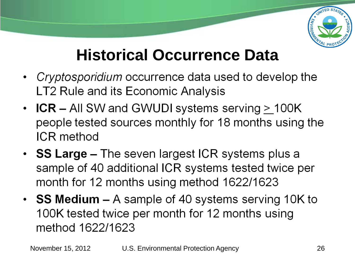

### **Historical Occurrence Data**

- Cryptosporidium occurrence data used to develop the LT2 Rule and its Economic Analysis
- ICR All SW and GWUDI systems serving  $\geq$  100K people tested sources monthly for 18 months using the **ICR** method
- SS Large  $-$  The seven largest ICR systems plus a sample of 40 additional ICR systems tested twice per month for 12 months using method 1622/1623
- SS Medium  $-$  A sample of 40 systems serving 10K to 100K tested twice per month for 12 months using method 1622/1623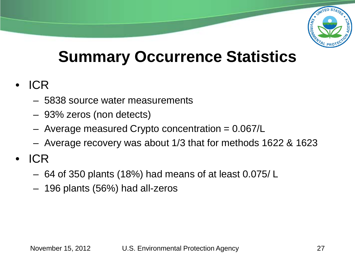

### **Summary Occurrence Statistics**

- ICR
	- 5838 source water measurements
	- 93% zeros (non detects)
	- $-$  Average measured Crypto concentration  $= 0.067/L$
	- Average recovery was about 1/3 that for methods 1622 & 1623
- ICR
	- 64 of 350 plants (18%) had means of at least 0.075/ L
	- 196 plants (56%) had all-zeros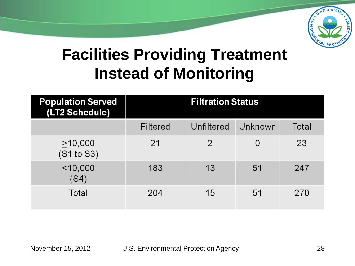

### **Facilities Providing Treatment Instead of Monitoring**

| <b>Population Served</b><br>(LT2 Schedule) | <b>Filtration Status</b> |               |         |       |  |  |
|--------------------------------------------|--------------------------|---------------|---------|-------|--|--|
|                                            | Filtered                 | Unfiltered    | Unknown | Total |  |  |
| $\geq$ 10,000<br>(S1 to S3)                | 21                       | $\mathcal{P}$ | 0       | 23    |  |  |
| $<$ 10,000<br>(S4)                         | 183                      | 13            | 51      | 247   |  |  |
| Total                                      | 204                      | 15            | 51      | 270   |  |  |